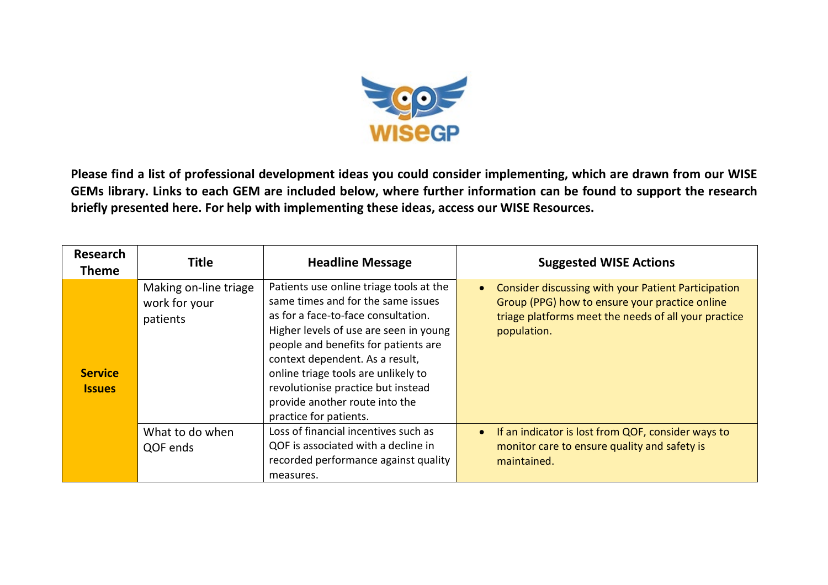

**Please find a list of professional development ideas you could consider implementing, which are drawn from our WISE GEMs library. Links to each GEM are included below, where further information can be found to support the research briefly presented here. For help with implementing these ideas, access our WISE Resources.**

| <b>Research</b><br><b>Theme</b> | <b>Title</b>                                       | <b>Headline Message</b>                                                                                                                                                                                                                                                                                                                                                            | <b>Suggested WISE Actions</b>                                                                                                                                                |
|---------------------------------|----------------------------------------------------|------------------------------------------------------------------------------------------------------------------------------------------------------------------------------------------------------------------------------------------------------------------------------------------------------------------------------------------------------------------------------------|------------------------------------------------------------------------------------------------------------------------------------------------------------------------------|
| <b>Service</b><br><b>Issues</b> | Making on-line triage<br>work for your<br>patients | Patients use online triage tools at the<br>same times and for the same issues<br>as for a face-to-face consultation.<br>Higher levels of use are seen in young<br>people and benefits for patients are<br>context dependent. As a result,<br>online triage tools are unlikely to<br>revolutionise practice but instead<br>provide another route into the<br>practice for patients. | Consider discussing with your Patient Participation<br>Group (PPG) how to ensure your practice online<br>triage platforms meet the needs of all your practice<br>population. |
|                                 | What to do when<br>QOF ends                        | Loss of financial incentives such as<br>QOF is associated with a decline in<br>recorded performance against quality<br>measures.                                                                                                                                                                                                                                                   | If an indicator is lost from QOF, consider ways to<br>monitor care to ensure quality and safety is<br>maintained.                                                            |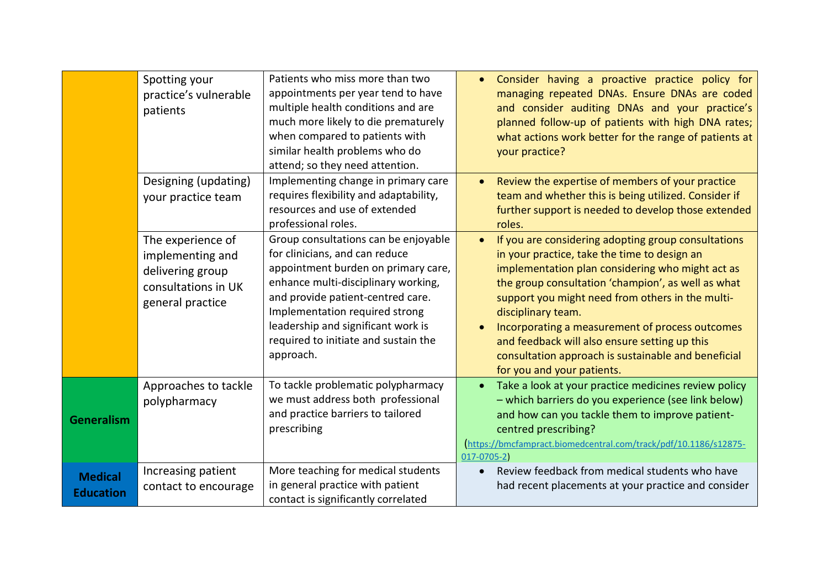|                                    | Spotting your<br>practice's vulnerable<br>patients                                                   | Patients who miss more than two<br>appointments per year tend to have<br>multiple health conditions and are<br>much more likely to die prematurely<br>when compared to patients with<br>similar health problems who do<br>attend; so they need attention.                                                              | Consider having a proactive practice policy for<br>managing repeated DNAs. Ensure DNAs are coded<br>and consider auditing DNAs and your practice's<br>planned follow-up of patients with high DNA rates;<br>what actions work better for the range of patients at<br>your practice?                                                                                                                                                                                                           |
|------------------------------------|------------------------------------------------------------------------------------------------------|------------------------------------------------------------------------------------------------------------------------------------------------------------------------------------------------------------------------------------------------------------------------------------------------------------------------|-----------------------------------------------------------------------------------------------------------------------------------------------------------------------------------------------------------------------------------------------------------------------------------------------------------------------------------------------------------------------------------------------------------------------------------------------------------------------------------------------|
|                                    | Designing (updating)<br>your practice team                                                           | Implementing change in primary care<br>requires flexibility and adaptability,<br>resources and use of extended<br>professional roles.                                                                                                                                                                                  | Review the expertise of members of your practice<br>team and whether this is being utilized. Consider if<br>further support is needed to develop those extended<br>roles.                                                                                                                                                                                                                                                                                                                     |
|                                    | The experience of<br>implementing and<br>delivering group<br>consultations in UK<br>general practice | Group consultations can be enjoyable<br>for clinicians, and can reduce<br>appointment burden on primary care,<br>enhance multi-disciplinary working,<br>and provide patient-centred care.<br>Implementation required strong<br>leadership and significant work is<br>required to initiate and sustain the<br>approach. | If you are considering adopting group consultations<br>$\bullet$<br>in your practice, take the time to design an<br>implementation plan considering who might act as<br>the group consultation 'champion', as well as what<br>support you might need from others in the multi-<br>disciplinary team.<br>Incorporating a measurement of process outcomes<br>and feedback will also ensure setting up this<br>consultation approach is sustainable and beneficial<br>for you and your patients. |
| <b>Generalism</b>                  | Approaches to tackle<br>polypharmacy                                                                 | To tackle problematic polypharmacy<br>we must address both professional<br>and practice barriers to tailored<br>prescribing                                                                                                                                                                                            | Take a look at your practice medicines review policy<br>- which barriers do you experience (see link below)<br>and how can you tackle them to improve patient-<br>centred prescribing?<br>https://bmcfampract.biomedcentral.com/track/pdf/10.1186/s12875-<br>$017 - 0705 - 2$                                                                                                                                                                                                                 |
| <b>Medical</b><br><b>Education</b> | Increasing patient<br>contact to encourage                                                           | More teaching for medical students<br>in general practice with patient<br>contact is significantly correlated                                                                                                                                                                                                          | Review feedback from medical students who have<br>had recent placements at your practice and consider                                                                                                                                                                                                                                                                                                                                                                                         |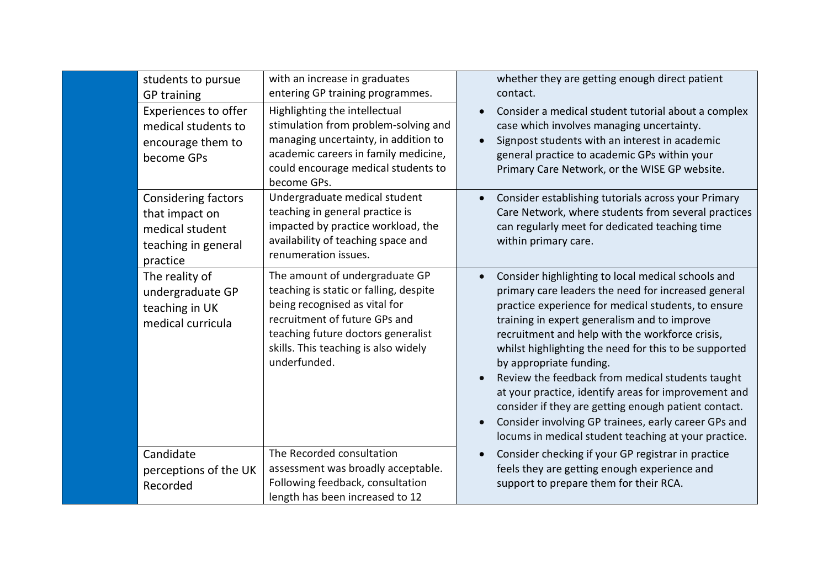| students to pursue<br><b>GP</b> training                                                           | with an increase in graduates<br>entering GP training programmes.                                                                                                                                                                        | whether they are getting enough direct patient<br>contact.                                                                                                                                                                                                                                                                                                                                                                                                                                                                                                                                                                                  |
|----------------------------------------------------------------------------------------------------|------------------------------------------------------------------------------------------------------------------------------------------------------------------------------------------------------------------------------------------|---------------------------------------------------------------------------------------------------------------------------------------------------------------------------------------------------------------------------------------------------------------------------------------------------------------------------------------------------------------------------------------------------------------------------------------------------------------------------------------------------------------------------------------------------------------------------------------------------------------------------------------------|
| <b>Experiences to offer</b><br>medical students to<br>encourage them to<br>become GPs              | Highlighting the intellectual<br>stimulation from problem-solving and<br>managing uncertainty, in addition to<br>academic careers in family medicine,<br>could encourage medical students to<br>become GPs.                              | Consider a medical student tutorial about a complex<br>case which involves managing uncertainty.<br>Signpost students with an interest in academic<br>general practice to academic GPs within your<br>Primary Care Network, or the WISE GP website.                                                                                                                                                                                                                                                                                                                                                                                         |
| <b>Considering factors</b><br>that impact on<br>medical student<br>teaching in general<br>practice | Undergraduate medical student<br>teaching in general practice is<br>impacted by practice workload, the<br>availability of teaching space and<br>renumeration issues.                                                                     | Consider establishing tutorials across your Primary<br>Care Network, where students from several practices<br>can regularly meet for dedicated teaching time<br>within primary care.                                                                                                                                                                                                                                                                                                                                                                                                                                                        |
| The reality of<br>undergraduate GP<br>teaching in UK<br>medical curricula                          | The amount of undergraduate GP<br>teaching is static or falling, despite<br>being recognised as vital for<br>recruitment of future GPs and<br>teaching future doctors generalist<br>skills. This teaching is also widely<br>underfunded. | Consider highlighting to local medical schools and<br>primary care leaders the need for increased general<br>practice experience for medical students, to ensure<br>training in expert generalism and to improve<br>recruitment and help with the workforce crisis,<br>whilst highlighting the need for this to be supported<br>by appropriate funding.<br>Review the feedback from medical students taught<br>at your practice, identify areas for improvement and<br>consider if they are getting enough patient contact.<br>Consider involving GP trainees, early career GPs and<br>locums in medical student teaching at your practice. |
| Candidate<br>perceptions of the UK<br>Recorded                                                     | The Recorded consultation<br>assessment was broadly acceptable.<br>Following feedback, consultation<br>length has been increased to 12                                                                                                   | Consider checking if your GP registrar in practice<br>feels they are getting enough experience and<br>support to prepare them for their RCA.                                                                                                                                                                                                                                                                                                                                                                                                                                                                                                |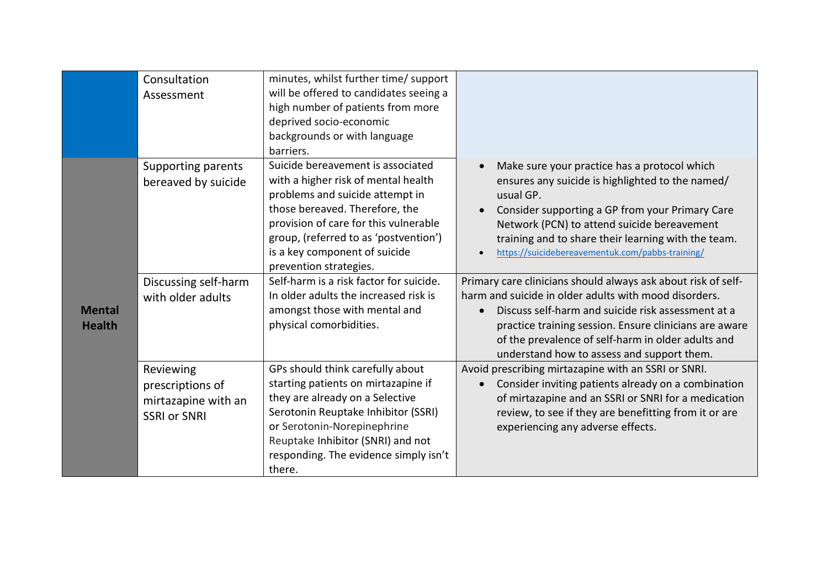|               | Consultation              | minutes, whilst further time/ support   |                                                               |
|---------------|---------------------------|-----------------------------------------|---------------------------------------------------------------|
|               | Assessment                | will be offered to candidates seeing a  |                                                               |
|               |                           | high number of patients from more       |                                                               |
|               |                           | deprived socio-economic                 |                                                               |
|               |                           | backgrounds or with language            |                                                               |
|               |                           | barriers.                               |                                                               |
|               | <b>Supporting parents</b> | Suicide bereavement is associated       | Make sure your practice has a protocol which                  |
|               | bereaved by suicide       | with a higher risk of mental health     | ensures any suicide is highlighted to the named/              |
|               |                           | problems and suicide attempt in         | usual GP.                                                     |
|               |                           | those bereaved. Therefore, the          | Consider supporting a GP from your Primary Care               |
|               |                           | provision of care for this vulnerable   | Network (PCN) to attend suicide bereavement                   |
|               |                           | group, (referred to as 'postvention')   | training and to share their learning with the team.           |
|               |                           | is a key component of suicide           | https://suicidebereavementuk.com/pabbs-training/              |
|               |                           | prevention strategies.                  |                                                               |
|               | Discussing self-harm      | Self-harm is a risk factor for suicide. | Primary care clinicians should always ask about risk of self- |
|               | with older adults         | In older adults the increased risk is   | harm and suicide in older adults with mood disorders.         |
| <b>Mental</b> |                           | amongst those with mental and           | Discuss self-harm and suicide risk assessment at a            |
| <b>Health</b> |                           | physical comorbidities.                 | practice training session. Ensure clinicians are aware        |
|               |                           |                                         | of the prevalence of self-harm in older adults and            |
|               |                           |                                         | understand how to assess and support them.                    |
|               | Reviewing                 | GPs should think carefully about        | Avoid prescribing mirtazapine with an SSRI or SNRI.           |
|               | prescriptions of          | starting patients on mirtazapine if     | Consider inviting patients already on a combination           |
|               | mirtazapine with an       | they are already on a Selective         | of mirtazapine and an SSRI or SNRI for a medication           |
|               | <b>SSRI or SNRI</b>       | Serotonin Reuptake Inhibitor (SSRI)     | review, to see if they are benefitting from it or are         |
|               |                           | or Serotonin-Norepinephrine             | experiencing any adverse effects.                             |
|               |                           | Reuptake Inhibitor (SNRI) and not       |                                                               |
|               |                           | responding. The evidence simply isn't   |                                                               |
|               |                           | there.                                  |                                                               |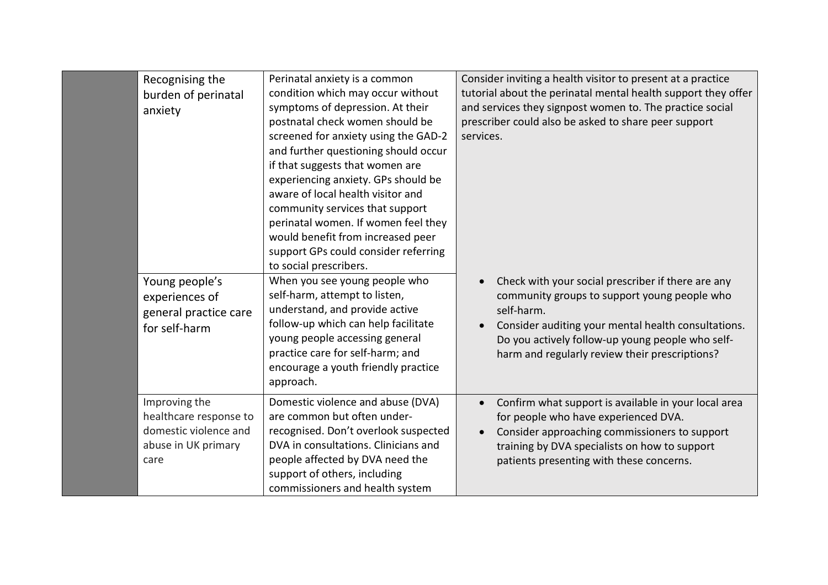| Recognising the<br>burden of perinatal<br>anxiety                                               | Perinatal anxiety is a common<br>condition which may occur without<br>symptoms of depression. At their<br>postnatal check women should be<br>screened for anxiety using the GAD-2<br>and further questioning should occur<br>if that suggests that women are<br>experiencing anxiety. GPs should be<br>aware of local health visitor and<br>community services that support<br>perinatal women. If women feel they<br>would benefit from increased peer<br>support GPs could consider referring<br>to social prescribers. | Consider inviting a health visitor to present at a practice<br>tutorial about the perinatal mental health support they offer<br>and services they signpost women to. The practice social<br>prescriber could also be asked to share peer support<br>services.                 |
|-------------------------------------------------------------------------------------------------|---------------------------------------------------------------------------------------------------------------------------------------------------------------------------------------------------------------------------------------------------------------------------------------------------------------------------------------------------------------------------------------------------------------------------------------------------------------------------------------------------------------------------|-------------------------------------------------------------------------------------------------------------------------------------------------------------------------------------------------------------------------------------------------------------------------------|
| Young people's<br>experiences of<br>general practice care<br>for self-harm                      | When you see young people who<br>self-harm, attempt to listen,<br>understand, and provide active<br>follow-up which can help facilitate<br>young people accessing general<br>practice care for self-harm; and<br>encourage a youth friendly practice<br>approach.                                                                                                                                                                                                                                                         | Check with your social prescriber if there are any<br>community groups to support young people who<br>self-harm.<br>Consider auditing your mental health consultations.<br>Do you actively follow-up young people who self-<br>harm and regularly review their prescriptions? |
| Improving the<br>healthcare response to<br>domestic violence and<br>abuse in UK primary<br>care | Domestic violence and abuse (DVA)<br>are common but often under-<br>recognised. Don't overlook suspected<br>DVA in consultations. Clinicians and<br>people affected by DVA need the<br>support of others, including<br>commissioners and health system                                                                                                                                                                                                                                                                    | Confirm what support is available in your local area<br>for people who have experienced DVA.<br>Consider approaching commissioners to support<br>training by DVA specialists on how to support<br>patients presenting with these concerns.                                    |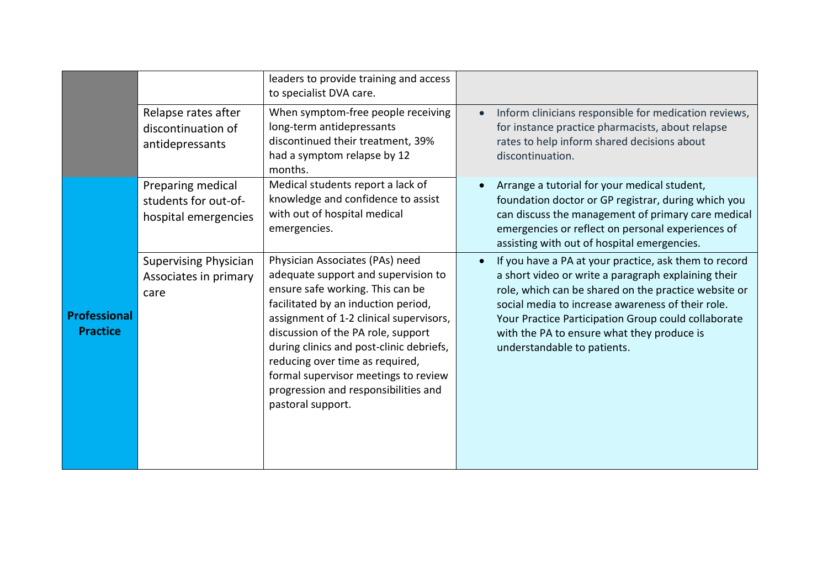|                                        |                                                                   | leaders to provide training and access<br>to specialist DVA care.                                                                                                                                                                                                                                                                                                                                                      |                                                                                                                                                                                                                                                                                                                                                               |
|----------------------------------------|-------------------------------------------------------------------|------------------------------------------------------------------------------------------------------------------------------------------------------------------------------------------------------------------------------------------------------------------------------------------------------------------------------------------------------------------------------------------------------------------------|---------------------------------------------------------------------------------------------------------------------------------------------------------------------------------------------------------------------------------------------------------------------------------------------------------------------------------------------------------------|
|                                        | Relapse rates after<br>discontinuation of<br>antidepressants      | When symptom-free people receiving<br>long-term antidepressants<br>discontinued their treatment, 39%<br>had a symptom relapse by 12<br>months.                                                                                                                                                                                                                                                                         | Inform clinicians responsible for medication reviews,<br>$\bullet$<br>for instance practice pharmacists, about relapse<br>rates to help inform shared decisions about<br>discontinuation.                                                                                                                                                                     |
|                                        | Preparing medical<br>students for out-of-<br>hospital emergencies | Medical students report a lack of<br>knowledge and confidence to assist<br>with out of hospital medical<br>emergencies.                                                                                                                                                                                                                                                                                                | Arrange a tutorial for your medical student,<br>foundation doctor or GP registrar, during which you<br>can discuss the management of primary care medical<br>emergencies or reflect on personal experiences of<br>assisting with out of hospital emergencies.                                                                                                 |
| <b>Professional</b><br><b>Practice</b> | <b>Supervising Physician</b><br>Associates in primary<br>care     | Physician Associates (PAs) need<br>adequate support and supervision to<br>ensure safe working. This can be<br>facilitated by an induction period,<br>assignment of 1-2 clinical supervisors,<br>discussion of the PA role, support<br>during clinics and post-clinic debriefs,<br>reducing over time as required,<br>formal supervisor meetings to review<br>progression and responsibilities and<br>pastoral support. | If you have a PA at your practice, ask them to record<br>a short video or write a paragraph explaining their<br>role, which can be shared on the practice website or<br>social media to increase awareness of their role.<br>Your Practice Participation Group could collaborate<br>with the PA to ensure what they produce is<br>understandable to patients. |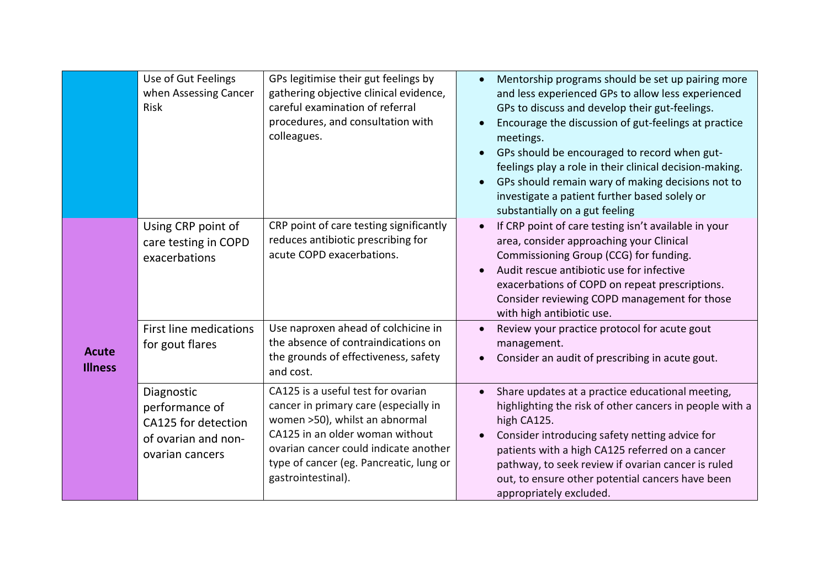|                                | Use of Gut Feelings<br>when Assessing Cancer<br>Risk                                          | GPs legitimise their gut feelings by<br>gathering objective clinical evidence,<br>careful examination of referral<br>procedures, and consultation with<br>colleagues.                                                                                      | Mentorship programs should be set up pairing more<br>and less experienced GPs to allow less experienced<br>GPs to discuss and develop their gut-feelings.<br>Encourage the discussion of gut-feelings at practice<br>meetings.<br>GPs should be encouraged to record when gut-<br>feelings play a role in their clinical decision-making.<br>GPs should remain wary of making decisions not to<br>investigate a patient further based solely or<br>substantially on a gut feeling |
|--------------------------------|-----------------------------------------------------------------------------------------------|------------------------------------------------------------------------------------------------------------------------------------------------------------------------------------------------------------------------------------------------------------|-----------------------------------------------------------------------------------------------------------------------------------------------------------------------------------------------------------------------------------------------------------------------------------------------------------------------------------------------------------------------------------------------------------------------------------------------------------------------------------|
|                                | Using CRP point of<br>care testing in COPD<br>exacerbations                                   | CRP point of care testing significantly<br>reduces antibiotic prescribing for<br>acute COPD exacerbations.                                                                                                                                                 | If CRP point of care testing isn't available in your<br>area, consider approaching your Clinical<br>Commissioning Group (CCG) for funding.<br>Audit rescue antibiotic use for infective<br>exacerbations of COPD on repeat prescriptions.<br>Consider reviewing COPD management for those<br>with high antibiotic use.                                                                                                                                                            |
| <b>Acute</b><br><b>Illness</b> | <b>First line medications</b><br>for gout flares                                              | Use naproxen ahead of colchicine in<br>the absence of contraindications on<br>the grounds of effectiveness, safety<br>and cost.                                                                                                                            | Review your practice protocol for acute gout<br>management.<br>Consider an audit of prescribing in acute gout.                                                                                                                                                                                                                                                                                                                                                                    |
|                                | Diagnostic<br>performance of<br>CA125 for detection<br>of ovarian and non-<br>ovarian cancers | CA125 is a useful test for ovarian<br>cancer in primary care (especially in<br>women >50), whilst an abnormal<br>CA125 in an older woman without<br>ovarian cancer could indicate another<br>type of cancer (eg. Pancreatic, lung or<br>gastrointestinal). | Share updates at a practice educational meeting,<br>highlighting the risk of other cancers in people with a<br>high CA125.<br>Consider introducing safety netting advice for<br>patients with a high CA125 referred on a cancer<br>pathway, to seek review if ovarian cancer is ruled<br>out, to ensure other potential cancers have been<br>appropriately excluded.                                                                                                              |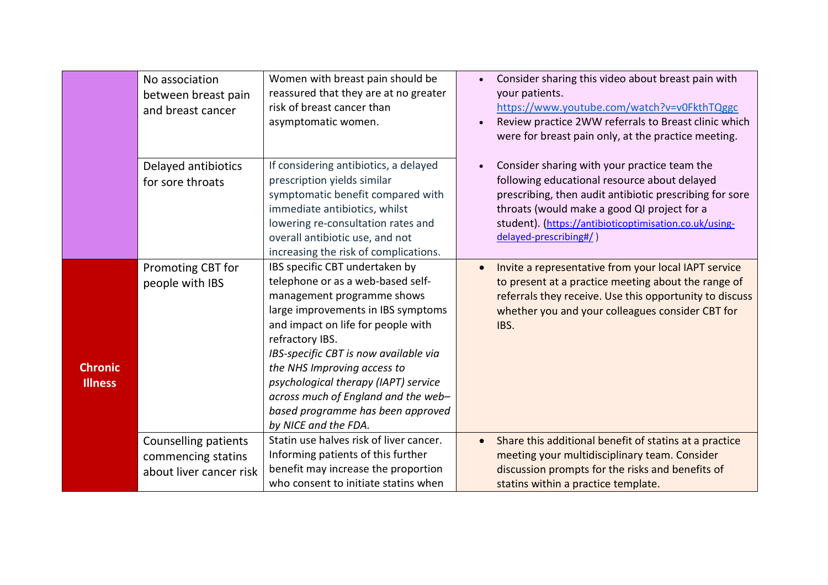|                                  | No association<br>between breast pain<br>and breast cancer            | Women with breast pain should be<br>reassured that they are at no greater<br>risk of breast cancer than<br>asymptomatic women.                                                                                                                                                                                                                                                                                       | Consider sharing this video about breast pain with<br>your patients.<br>https://www.youtube.com/watch?v=v0FkthTQggc<br>Review practice 2WW referrals to Breast clinic which<br>were for breast pain only, at the practice meeting.                                                         |
|----------------------------------|-----------------------------------------------------------------------|----------------------------------------------------------------------------------------------------------------------------------------------------------------------------------------------------------------------------------------------------------------------------------------------------------------------------------------------------------------------------------------------------------------------|--------------------------------------------------------------------------------------------------------------------------------------------------------------------------------------------------------------------------------------------------------------------------------------------|
|                                  | Delayed antibiotics<br>for sore throats                               | If considering antibiotics, a delayed<br>prescription yields similar<br>symptomatic benefit compared with<br>immediate antibiotics, whilst<br>lowering re-consultation rates and<br>overall antibiotic use, and not<br>increasing the risk of complications.                                                                                                                                                         | Consider sharing with your practice team the<br>following educational resource about delayed<br>prescribing, then audit antibiotic prescribing for sore<br>throats (would make a good QI project for a<br>student). (https://antibioticoptimisation.co.uk/using-<br>delayed-prescribing#/) |
| <b>Chronic</b><br><b>Illness</b> | Promoting CBT for<br>people with IBS                                  | IBS specific CBT undertaken by<br>telephone or as a web-based self-<br>management programme shows<br>large improvements in IBS symptoms<br>and impact on life for people with<br>refractory IBS.<br>IBS-specific CBT is now available via<br>the NHS Improving access to<br>psychological therapy (IAPT) service<br>across much of England and the web-<br>based programme has been approved<br>by NICE and the FDA. | Invite a representative from your local IAPT service<br>to present at a practice meeting about the range of<br>referrals they receive. Use this opportunity to discuss<br>whether you and your colleagues consider CBT for<br>IBS.                                                         |
|                                  | Counselling patients<br>commencing statins<br>about liver cancer risk | Statin use halves risk of liver cancer.<br>Informing patients of this further<br>benefit may increase the proportion<br>who consent to initiate statins when                                                                                                                                                                                                                                                         | Share this additional benefit of statins at a practice<br>meeting your multidisciplinary team. Consider<br>discussion prompts for the risks and benefits of<br>statins within a practice template.                                                                                         |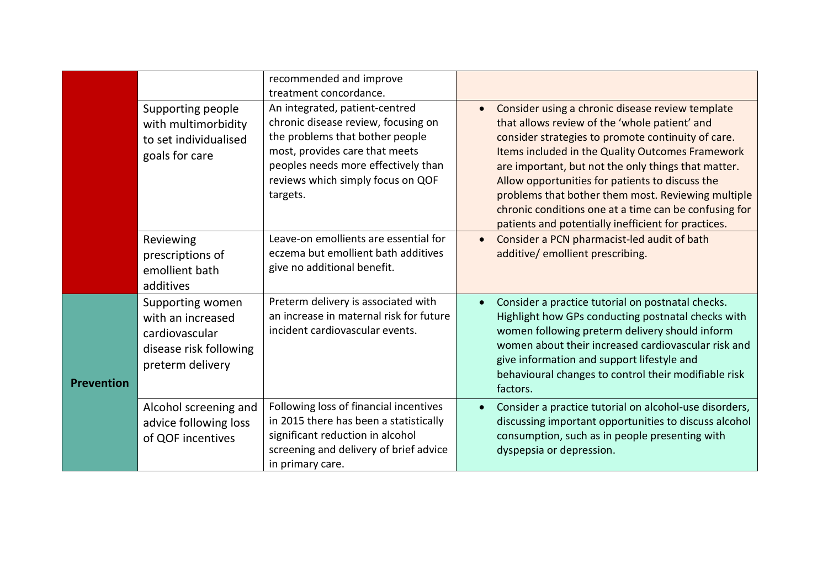|                   |                        | recommended and improve                                                    |           |                                                                  |
|-------------------|------------------------|----------------------------------------------------------------------------|-----------|------------------------------------------------------------------|
|                   |                        | treatment concordance.                                                     |           |                                                                  |
|                   | Supporting people      | An integrated, patient-centred                                             |           | Consider using a chronic disease review template                 |
|                   | with multimorbidity    | chronic disease review, focusing on                                        |           | that allows review of the 'whole patient' and                    |
|                   | to set individualised  | the problems that bother people                                            |           | consider strategies to promote continuity of care.               |
|                   | goals for care         | most, provides care that meets                                             |           | Items included in the Quality Outcomes Framework                 |
|                   |                        | peoples needs more effectively than                                        |           | are important, but not the only things that matter.              |
|                   |                        | reviews which simply focus on QOF                                          |           | Allow opportunities for patients to discuss the                  |
|                   |                        | targets.                                                                   |           | problems that bother them most. Reviewing multiple               |
|                   |                        |                                                                            |           | chronic conditions one at a time can be confusing for            |
|                   |                        |                                                                            |           | patients and potentially inefficient for practices.              |
|                   | Reviewing              | Leave-on emollients are essential for                                      | $\bullet$ | Consider a PCN pharmacist-led audit of bath                      |
|                   | prescriptions of       | eczema but emollient bath additives<br>give no additional benefit.         |           | additive/ emollient prescribing.                                 |
|                   | emollient bath         |                                                                            |           |                                                                  |
|                   | additives              |                                                                            |           |                                                                  |
|                   | Supporting women       | Preterm delivery is associated with                                        |           | Consider a practice tutorial on postnatal checks.                |
|                   | with an increased      | an increase in maternal risk for future                                    |           | Highlight how GPs conducting postnatal checks with               |
|                   | cardiovascular         | incident cardiovascular events.                                            |           | women following preterm delivery should inform                   |
|                   | disease risk following |                                                                            |           | women about their increased cardiovascular risk and              |
|                   | preterm delivery       |                                                                            |           | give information and support lifestyle and                       |
| <b>Prevention</b> |                        |                                                                            |           | behavioural changes to control their modifiable risk<br>factors. |
|                   |                        |                                                                            |           |                                                                  |
|                   | Alcohol screening and  | Following loss of financial incentives                                     |           | Consider a practice tutorial on alcohol-use disorders,           |
|                   | advice following loss  | in 2015 there has been a statistically                                     |           | discussing important opportunities to discuss alcohol            |
|                   | of QOF incentives      | significant reduction in alcohol<br>screening and delivery of brief advice |           | consumption, such as in people presenting with                   |
|                   |                        | in primary care.                                                           |           | dyspepsia or depression.                                         |
|                   |                        |                                                                            |           |                                                                  |